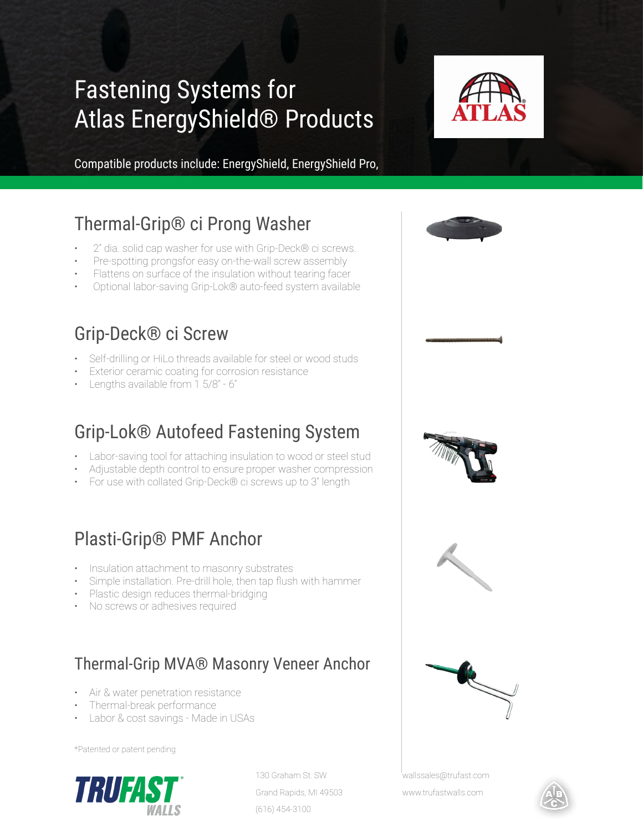# Fastening Systems for Atlas EnergyShield® Products



Compatible products include: EnergyShield, EnergyShield Pro,

## Thermal-Grip® ci Prong Washer

- 2" dia. solid cap washer for use with Grip-Deck® ci screws.
- Pre-spotting prongsfor easy on-the-wall screw assembly
- Flattens on surface of the insulation without tearing facer
- Optional labor-saving Grip-Lok® auto-feed system available

### Grip-Deck® ci Screw

- Self-drilling or HiLo threads available for steel or wood studs
- Exterior ceramic coating for corrosion resistance
- Lengths available from 1 5/8" 6"

# Grip-Lok® Autofeed Fastening System

- Labor-saving tool for attaching insulation to wood or steel stud
- Adjustable depth control to ensure proper washer compression
- For use with collated Grip-Deck® ci screws up to 3" length

### Plasti-Grip® PMF Anchor

- Insulation attachment to masonry substrates
- Simple installation. Pre-drill hole, then tap flush with hammer
- Plastic design reduces thermal-bridging
- No screws or adhesives required

#### Thermal-Grip MVA® Masonry Veneer Anchor

- Air & water penetration resistance
- Thermal-break performance
- Labor & cost savings Made in USAs

\*Patented or patent pending



130 Graham St. SW Grand Rapids, MI 49503 (616) 454-3100





wallssales@trufast.com

www.trufastwalls.com